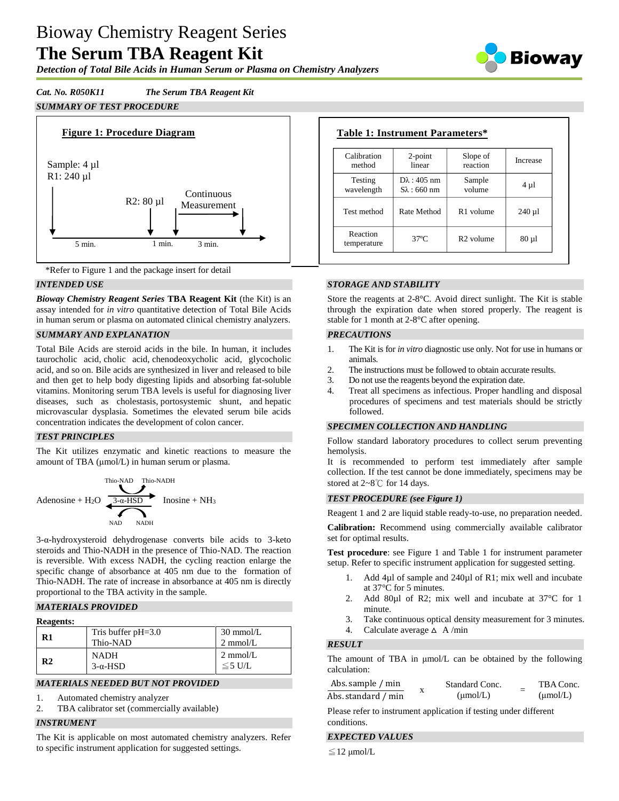# Bioway Chemistry Reagent Series **The Serum TBA Reagent Kit**

*Detection of Total Bile Acids in Human Serum or Plasma on Chemistry Analyzers*



# *Cat. No. R050K11 The Serum TBA Reagent Kit*

# *SUMMARY OF TEST PROCEDURE*





## *INTENDED USE*

*Bioway Chemistry Reagent Series* **TBA Reagent Kit** (the Kit) is an assay intended for *in vitro* quantitative detection of Total Bile Acids in human serum or plasma on automated clinical chemistry analyzers.

## *SUMMARY AND EXPLANATION*

Total Bile Acids are steroid acids in the bile. In human, it includes taurocholic acid, [cholic acid,](http://en.wikipedia.org/wiki/Cholic_acid) [chenodeoxycholic acid,](http://en.wikipedia.org/wiki/Chenodeoxycholic_acid) glycocholic acid, and so on. Bile acids are synthesized in liver and released to bile and then get to help body digesting lipids and absorbing fat-soluble vitamins. Monitoring serum TBA levels is useful for diagnosing liver diseases, such as [cholestasis,](http://en.wikipedia.org/wiki/Cholestasis) [portosystemic shunt,](http://en.wikipedia.org/wiki/Portosystemic_shunt) and [hepatic](http://en.wikipedia.org/wiki/Hepatic_microvascular_dysplasia)  [microvascular dysplasia.](http://en.wikipedia.org/wiki/Hepatic_microvascular_dysplasia) Sometimes the elevated serum bile acids concentration indicates the development of colon cancer.

## *TEST PRINCIPLES*

The Kit utilizes enzymatic and kinetic reactions to measure the amount of TBA (μmol/L) in human serum or plasma.



3-α-hydroxysteroid dehydrogenase converts bile acids to 3-keto steroids and Thio-NADH in the presence of Thio-NAD. The reaction is reversible. With excess NADH, the cycling reaction enlarge the specific change of absorbance at 405 nm due to the formation of Thio-NADH. The rate of increase in absorbance at 405 nm is directly proportional to the TBA activity in the sample.

## *MATERIALS PROVIDED*

#### **Reagents:**

| R1 | Tris buffer $pH=3.0$<br>Thio-NAD | $30 \text{ mmol/L}$<br>$2 \text{ mmol/L}$ |
|----|----------------------------------|-------------------------------------------|
| R2 | <b>NADH</b><br>$3-\alpha$ -HSD   | $2 \text{ mmol/L}$<br>$≤ 5$ U/L           |

## *MATERIALS NEEDED BUT NOT PROVIDED*

- 1. Automated chemistry analyzer
- 2. TBA calibrator set (commercially available)

#### *INSTRUMENT*

The Kit is applicable on most automated chemistry analyzers. Refer to specific instrument application for suggested settings.

| Calibration<br>method   | $2$ -point<br>linear                          | Slope of<br>reaction  | Increase<br>$4 \mu l$ |  |
|-------------------------|-----------------------------------------------|-----------------------|-----------------------|--|
| Testing<br>wavelength   | $D\lambda$ : 405 nm<br>$S_{\lambda}$ : 660 nm | Sample<br>volume      |                       |  |
| Test method             | Rate Method                                   | R <sub>1</sub> volume | $240 \mu$             |  |
| Reaction<br>temperature | $37^\circ$ C                                  | $R$ 2 volume          | $80 \mu$              |  |

## *STORAGE AND STABILITY*

Store the reagents at 2-8°C. Avoid direct sunlight. The Kit is stable through the expiration date when stored properly. The reagent is stable for 1 month at 2-8°C after opening.

## *PRECAUTIONS*

- 1. The Kit is for *in vitro* diagnostic use only. Not for use in humans or animals.
- 2. The instructions must be followed to obtain accurate results.
- 3. Do not use the reagents beyond the expiration date.
- 4. Treat all specimens as infectious. Proper handling and disposal procedures of specimens and test materials should be strictly followed.

#### *SPECIMEN COLLECTION AND HANDLING*

Follow standard laboratory procedures to collect serum preventing hemolysis.

It is recommended to perform test immediately after sample collection. If the test cannot be done immediately, specimens may be stored at 2~8℃ for 14 days.

# *TEST PROCEDURE (see Figure 1)*

Reagent 1 and 2 are liquid stable ready-to-use, no preparation needed.

**Calibration:** Recommend using commercially available calibrator set for optimal results.

**Test procedure**: see Figure 1 and Table 1 for instrument parameter setup. Refer to specific instrument application for suggested setting.

- 1. Add 4µl of sample and 240µl of R1; mix well and incubate at 37°C for 5 minutes.
- 2. Add 80µl of R2; mix well and incubate at 37°C for 1 minute.
- 3. Take continuous optical density measurement for 3 minutes.
- 4. Calculate average  $\triangle$  A/min

# *RESULT*

The amount of TBA in μmol/L can be obtained by the following calculation:

| Abs. sample / min   |   | Standard Conc.       | TBA Conc.            |
|---------------------|---|----------------------|----------------------|
| Abs. standard / min | л | $(\mu \text{mol/L})$ | $(\mu \text{mol/L})$ |

Please refer to instrument application if testing under different conditions.

#### *EXPECTED VALUES*

 $\leq$  12 μmol/L